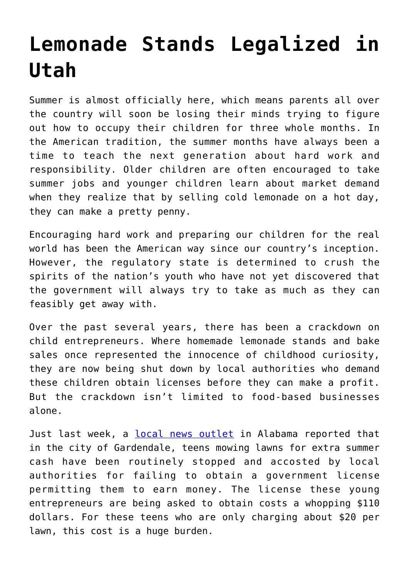## **[Lemonade Stands Legalized in](https://intellectualtakeout.org/2017/06/lemonade-stands-legalized-in-utah/) [Utah](https://intellectualtakeout.org/2017/06/lemonade-stands-legalized-in-utah/)**

Summer is almost officially here, which means parents all over the country will soon be losing their minds trying to figure out how to occupy their children for three whole months. In the American tradition, the summer months have always been a time to teach the next generation about hard work and responsibility. Older children are often encouraged to take summer jobs and younger children learn about market demand when they realize that by selling cold lemonade on a hot day, they can make a pretty penny.

Encouraging hard work and preparing our children for the real world has been the American way since our country's inception. However, the regulatory state is determined to crush the spirits of the nation's youth who have not yet discovered that the government will always try to take as much as they can feasibly get away with.

Over the past several years, there has been a crackdown on child entrepreneurs. Where homemade lemonade stands and bake sales once represented the innocence of childhood curiosity, they are now being shut down by local authorities who demand these children obtain licenses before they can make a profit. But the crackdown isn't limited to food-based businesses alone.

Just last week, a [local news outlet](http://abc3340.com/news/local/business-license-required-for-teens-to-cut-grass) in Alabama reported that in the city of Gardendale, teens mowing lawns for extra summer cash have been routinely stopped and accosted by local authorities for failing to obtain a government license permitting them to earn money. The license these young entrepreneurs are being asked to obtain costs a whopping \$110 dollars. For these teens who are only charging about \$20 per lawn, this cost is a huge burden.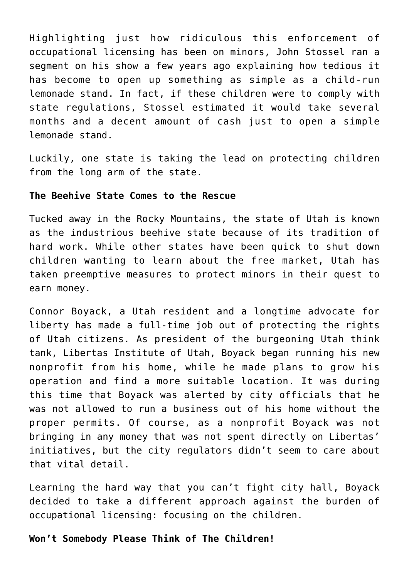Highlighting just how ridiculous this enforcement of occupational licensing has been on minors, John Stossel ran a segment on his show a few years ago explaining how tedious it has become to open up something as simple as a child-run lemonade stand. In fact, if these children were to comply with state regulations, Stossel estimated it would take several months and a decent amount of cash just to open a simple lemonade stand.

Luckily, one state is taking the lead on protecting children from the long arm of the state.

## **The Beehive State Comes to the Rescue**

Tucked away in the Rocky Mountains, the state of Utah is known as the industrious beehive state because of its tradition of hard work. While other states have been quick to shut down children wanting to learn about the free market, Utah has taken preemptive measures to protect minors in their quest to earn money.

Connor Boyack, a Utah resident and a longtime advocate for liberty has made a full-time job out of protecting the rights of Utah citizens. As president of the burgeoning Utah think tank, Libertas Institute of Utah, Boyack began running his new nonprofit from his home, while he made plans to grow his operation and find a more suitable location. It was during this time that Boyack was alerted by city officials that he was not allowed to run a business out of his home without the proper permits. Of course, as a nonprofit Boyack was not bringing in any money that was not spent directly on Libertas' initiatives, but the city regulators didn't seem to care about that vital detail.

Learning the hard way that you can't fight city hall, Boyack decided to take a different approach against the burden of occupational licensing: focusing on the children.

## **Won't Somebody Please Think of The Children!**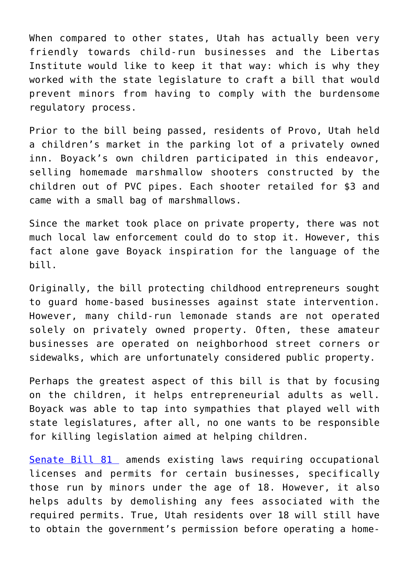When compared to other states, Utah has actually been very friendly towards child-run businesses and the Libertas Institute would like to keep it that way: which is why they worked with the state legislature to craft a bill that would prevent minors from having to comply with the burdensome regulatory process.

Prior to the bill being passed, residents of Provo, Utah held a children's market in the parking lot of a privately owned inn. Boyack's own children participated in this endeavor, selling homemade marshmallow shooters constructed by the children out of PVC pipes. Each shooter retailed for \$3 and came with a small bag of marshmallows.

Since the market took place on private property, there was not much local law enforcement could do to stop it. However, this fact alone gave Boyack inspiration for the language of the bill.

Originally, the bill protecting childhood entrepreneurs sought to guard home-based businesses against state intervention. However, many child-run lemonade stands are not operated solely on privately owned property. Often, these amateur businesses are operated on neighborhood street corners or sidewalks, which are unfortunately considered public property.

Perhaps the greatest aspect of this bill is that by focusing on the children, it helps entrepreneurial adults as well. Boyack was able to tap into sympathies that played well with state legislatures, after all, no one wants to be responsible for killing legislation aimed at helping children.

[Senate Bill 81](https://le.utah.gov/~2017/bills/static/SB0081.html) amends existing laws requiring occupational licenses and permits for certain businesses, specifically those run by minors under the age of 18. However, it also helps adults by demolishing any fees associated with the required permits. True, Utah residents over 18 will still have to obtain the government's permission before operating a home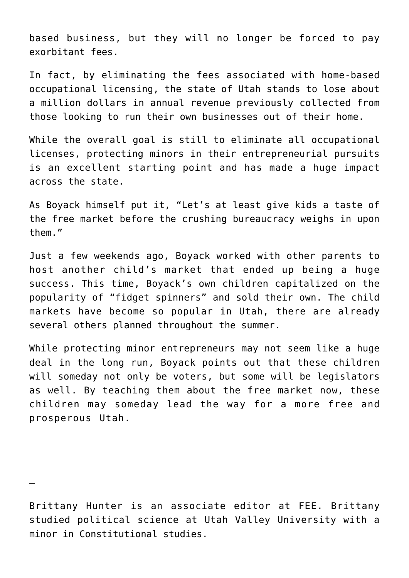based business, but they will no longer be forced to pay exorbitant fees.

In fact, by eliminating the fees associated with home-based occupational licensing, the state of Utah stands to lose about a million dollars in annual revenue previously collected from those looking to run their own businesses out of their home.

While the overall goal is still to eliminate all occupational licenses, protecting minors in their entrepreneurial pursuits is an excellent starting point and has made a huge impact across the state.

As Boyack himself put it, "Let's at least give kids a taste of the free market before the crushing bureaucracy weighs in upon them."

Just a few weekends ago, Boyack worked with other parents to host another child's market that ended up being a huge success. This time, Boyack's own children capitalized on the popularity of "fidget spinners" and sold their own. The child markets have become so popular in Utah, there are already several others planned throughout the summer.

While protecting minor entrepreneurs may not seem like a huge deal in the long run, Boyack points out that these children will someday not only be voters, but some will be legislators as well. By teaching them about the free market now, these children may someday lead the way for a more free and prosperous Utah.

—

Brittany Hunter is an associate editor at FEE. Brittany studied political science at Utah Valley University with a minor in Constitutional studies.